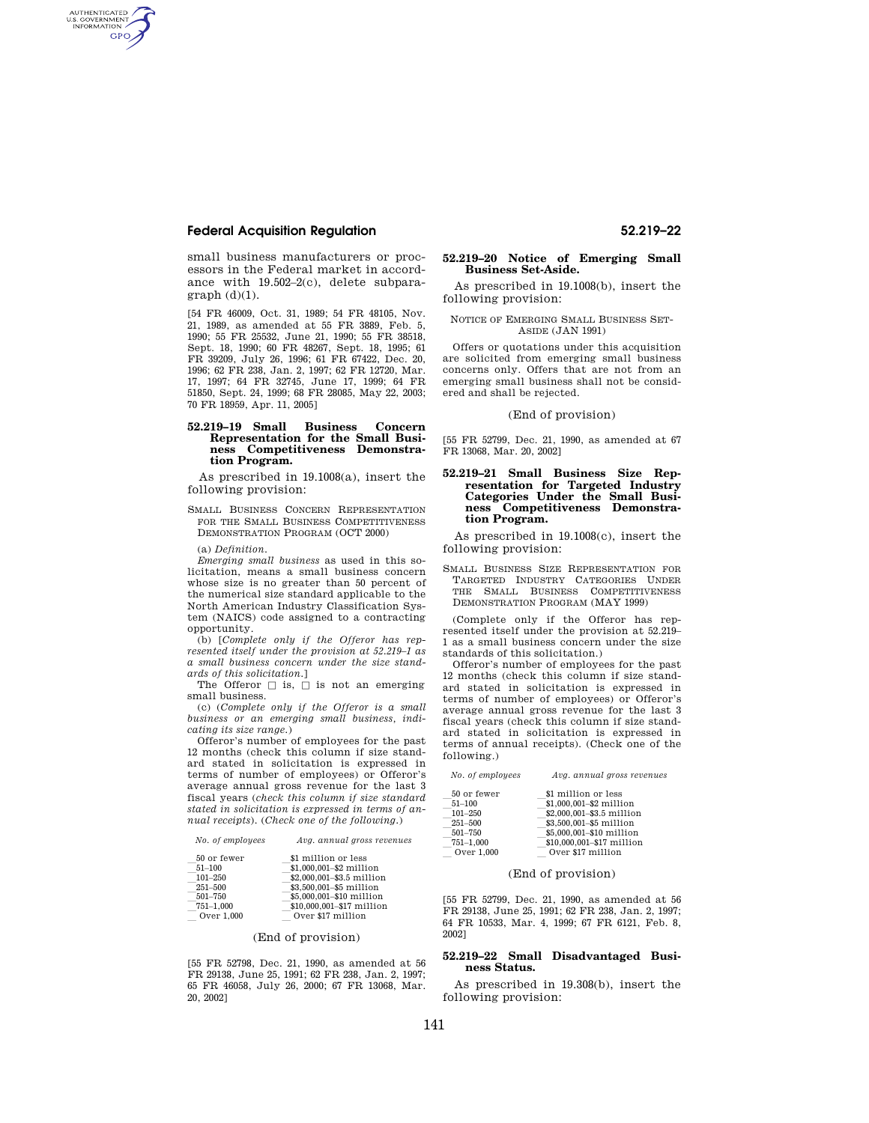# **Federal Acquisition Regulation 52.219–22**

AUTHENTICATED<br>U.S. GOVERNMENT<br>INFORMATION **GPO** 

> small business manufacturers or processors in the Federal market in accordance with 19.502–2(c), delete subpara $graph (d)(1)$ .

> [54 FR 46009, Oct. 31, 1989; 54 FR 48105, Nov. 21, 1989, as amended at 55 FR 3889, Feb. 5, 1990; 55 FR 25532, June 21, 1990; 55 FR 38518, Sept. 18, 1990; 60 FR 48267, Sept. 18, 1995; 61 FR 39209, July 26, 1996; 61 FR 67422, Dec. 20, 1996; 62 FR 238, Jan. 2, 1997; 62 FR 12720, Mar. 17, 1997; 64 FR 32745, June 17, 1999; 64 FR 51850, Sept. 24, 1999; 68 FR 28085, May 22, 2003; 70 FR 18959, Apr. 11, 2005]

### **52.219–19 Small Business Concern Representation for the Small Business Competitiveness Demonstration Program.**

As prescribed in 19.1008(a), insert the following provision:

#### SMALL BUSINESS CONCERN REPRESENTATION FOR THE SMALL BUSINESS COMPETITIVENESS DEMONSTRATION PROGRAM (OCT 2000)

(a) *Definition.* 

*Emerging small business* as used in this solicitation, means a small business concern whose size is no greater than 50 percent of the numerical size standard applicable to the North American Industry Classification System (NAICS) code assigned to a contracting opportunity.

(b) [*Complete only if the Offeror has represented itself under the provision at 52.219–1 as a small business concern under the size standards of this solicitation.*]

The Offeror  $\Box$  is,  $\Box$  is not an emerging small business.

(c) (*Complete only if the Offeror is a small business or an emerging small business, indicating its size range.*)

Offeror's number of employees for the past 12 months (check this column if size standard stated in solicitation is expressed in terms of number of employees) or Offeror's average annual gross revenue for the last 3 fiscal years (*check this column if size standard stated in solicitation is expressed in terms of annual receipts*). (*Check one of the following.*)

#### *No. of employees Avg. annual gross revenues*

| 50 or fewer   | \$1 million or less       |
|---------------|---------------------------|
| $51 - 100$    | \$1,000,001-\$2 million   |
| $101 - 250$   | \$2,000,001-\$3.5 million |
| $251 - 500$   | \$3,500,001-\$5 million   |
| 501-750       | \$5,000,001-\$10 million  |
| $751 - 1.000$ | \$10,000,001-\$17 million |
| Over 1,000    | Over \$17 million         |

#### (End of provision)

[55 FR 52798, Dec. 21, 1990, as amended at 56 FR 29138, June 25, 1991; 62 FR 238, Jan. 2, 1997; 65 FR 46058, July 26, 2000; 67 FR 13068, Mar. 20, 2002]

#### **52.219–20 Notice of Emerging Small Business Set-Aside.**

As prescribed in 19.1008(b), insert the following provision:

#### NOTICE OF EMERGING SMALL BUSINESS SET-ASIDE (JAN 1991)

Offers or quotations under this acquisition are solicited from emerging small business concerns only. Offers that are not from an emerging small business shall not be considered and shall be rejected.

## (End of provision)

[55 FR 52799, Dec. 21, 1990, as amended at 67 FR 13068, Mar. 20, 2002]

**52.219–21 Small Business Size Representation for Targeted Industry Categories Under the Small Business Competitiveness Demonstration Program.** 

As prescribed in 19.1008(c), insert the following provision:

SMALL BUSINESS SIZE REPRESENTATION FOR TARGETED INDUSTRY CATEGORIES UNDER THE SMALL BUSINESS COMPETITIVENESS DEMONSTRATION PROGRAM (MAY 1999)

(Complete only if the Offeror has represented itself under the provision at 52.219– 1 as a small business concern under the size standards of this solicitation.)

Offeror's number of employees for the past 12 months (check this column if size standard stated in solicitation is expressed in terms of number of employees) or Offeror's average annual gross revenue for the last 3 fiscal years (check this column if size standard stated in solicitation is expressed in terms of annual receipts). (Check one of the following.)

| 50 or fewer   | \$1 million or less       |
|---------------|---------------------------|
| $51 - 100$    | \$1,000,001-\$2 million   |
| $101 - 250$   | \$2,000,001-\$3.5 million |
| 251-500       | \$3,500,001-\$5 million   |
| 501-750       | \$5,000,001-\$10 million  |
| $751 - 1.000$ | \$10,000,001-\$17 million |
| Over 1,000    | Over \$17 million         |
|               |                           |

#### (End of provision)

[55 FR 52799, Dec. 21, 1990, as amended at 56 FR 29138, June 25, 1991; 62 FR 238, Jan. 2, 1997; 64 FR 10533, Mar. 4, 1999; 67 FR 6121, Feb. 8, 2002]

#### **52.219–22 Small Disadvantaged Business Status.**

As prescribed in 19.308(b), insert the following provision: